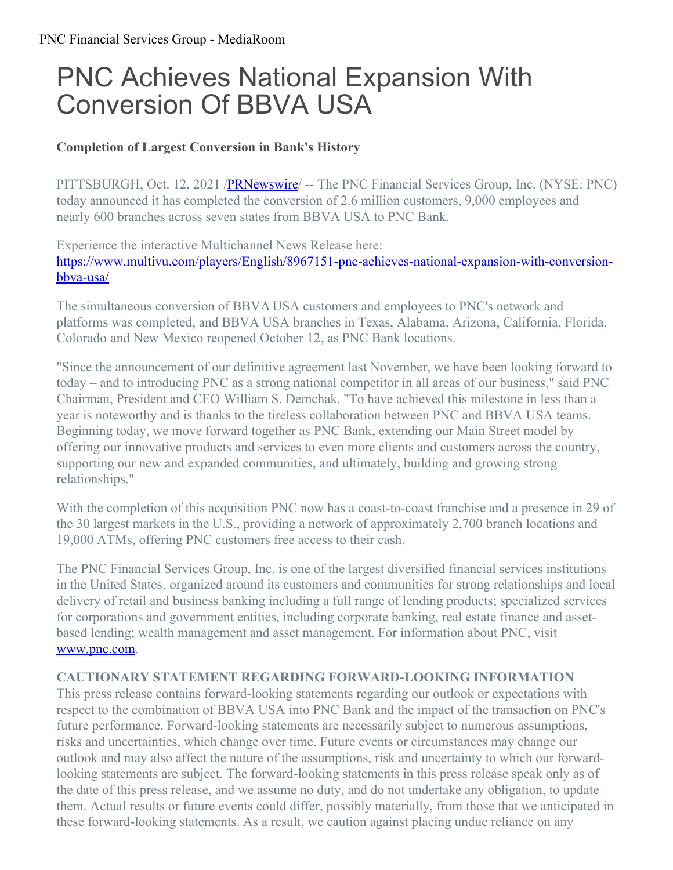## PNC Achieves National Expansion With Conversion Of BBVA USA

## **Completion of Largest Conversion in Bank's History**

PITTSBURGH, Oct. 12, 2021 [/PRNewswire](http://www.prnewswire.com/)/ -- The PNC Financial Services Group, Inc. (NYSE: PNC) today announced it has completed the conversion of 2.6 million customers, 9,000 employees and nearly 600 branches across seven states from BBVA USA to PNC Bank.

Experience the interactive Multichannel News Release here: [https://www.multivu.com/players/English/8967151-pnc-achieves-national-expansion-with-conversion](https://c212.net/c/link/?t=0&l=en&o=3318218-1&h=4029432784&u=https%3A%2F%2Fwww.multivu.com%2Fplayers%2FEnglish%2F8967151-pnc-achieves-national-expansion-with-conversion-bbva-usa%2F&a=https%3A%2F%2Fwww.multivu.com%2Fplayers%2FEnglish%2F8967151-pnc-achieves-national-expansion-with-conversion-bbva-usa%2F)bbva-usa/

The simultaneous conversion of BBVA USA customers and employees to PNC's network and platforms was completed, and BBVA USA branches in Texas, Alabama, Arizona, California, Florida, Colorado and New Mexico reopened October 12, as PNC Bank locations.

"Since the announcement of our definitive agreement last November, we have been looking forward to today – and to introducing PNC as a strong national competitor in all areas of our business," said PNC Chairman, President and CEO William S. Demchak. "To have achieved this milestone in less than a year is noteworthy and is thanks to the tireless collaboration between PNC and BBVA USA teams. Beginning today, we move forward together as PNC Bank, extending our Main Street model by offering our innovative products and services to even more clients and customers across the country, supporting our new and expanded communities, and ultimately, building and growing strong relationships."

With the completion of this acquisition PNC now has a coast-to-coast franchise and a presence in 29 of the 30 largest markets in the U.S., providing a network of approximately 2,700 branch locations and 19,000 ATMs, offering PNC customers free access to their cash.

The PNC Financial Services Group, Inc. is one of the largest diversified financial services institutions in the United States, organized around its customers and communities for strong relationships and local delivery of retail and business banking including a full range of lending products; specialized services for corporations and government entities, including corporate banking, real estate finance and assetbased lending; wealth management and asset management. For information about PNC, visit [www.pnc.com](https://c212.net/c/link/?t=0&l=en&o=3318218-1&h=3709953623&u=http%3A%2F%2Fwww.pnc.com%2F&a=www.pnc.com).

## **CAUTIONARY STATEMENT REGARDING FORWARD-LOOKING INFORMATION**

This press release contains forward-looking statements regarding our outlook or expectations with respect to the combination of BBVA USA into PNC Bank and the impact of the transaction on PNC's future performance. Forward-looking statements are necessarily subject to numerous assumptions, risks and uncertainties, which change over time. Future events or circumstances may change our outlook and may also affect the nature of the assumptions, risk and uncertainty to which our forwardlooking statements are subject. The forward-looking statements in this press release speak only as of the date of this press release, and we assume no duty, and do not undertake any obligation, to update them. Actual results or future events could differ, possibly materially, from those that we anticipated in these forward-looking statements. As a result, we caution against placing undue reliance on any